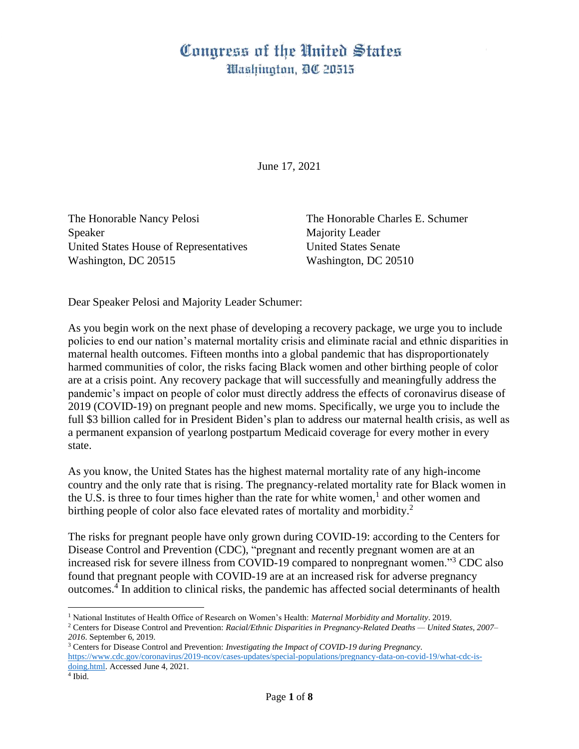## Congress of the United States Washington, DC 20515

June 17, 2021

The Honorable Nancy Pelosi The Honorable Charles E. Schumer Speaker Majority Leader United States House of Representatives United States Senate Washington, DC 20515 Washington, DC 20510

Dear Speaker Pelosi and Majority Leader Schumer:

As you begin work on the next phase of developing a recovery package, we urge you to include policies to end our nation's maternal mortality crisis and eliminate racial and ethnic disparities in maternal health outcomes. Fifteen months into a global pandemic that has disproportionately harmed communities of color, the risks facing Black women and other birthing people of color are at a crisis point. Any recovery package that will successfully and meaningfully address the pandemic's impact on people of color must directly address the effects of coronavirus disease of 2019 (COVID-19) on pregnant people and new moms. Specifically, we urge you to include the full \$3 billion called for in President Biden's plan to address our maternal health crisis, as well as a permanent expansion of yearlong postpartum Medicaid coverage for every mother in every state.

As you know, the United States has the highest maternal mortality rate of any high-income country and the only rate that is rising. The pregnancy-related mortality rate for Black women in the U.S. is three to four times higher than the rate for white women,<sup>1</sup> and other women and birthing people of color also face elevated rates of mortality and morbidity.<sup>2</sup>

The risks for pregnant people have only grown during COVID-19: according to the Centers for Disease Control and Prevention (CDC), "pregnant and recently pregnant women are at an increased risk for severe illness from COVID-19 compared to nonpregnant women."<sup>3</sup> CDC also found that pregnant people with COVID-19 are at an increased risk for adverse pregnancy outcomes.<sup>4</sup> In addition to clinical risks, the pandemic has affected social determinants of health

<sup>1</sup> National Institutes of Health Office of Research on Women's Health: *Maternal Morbidity and Mortality*. 2019.

<sup>2</sup> Centers for Disease Control and Prevention: *Racial/Ethnic Disparities in Pregnancy-Related Deaths — United States, 2007– 2016*. September 6, 2019.

<sup>3</sup> Centers for Disease Control and Prevention: *Investigating the Impact of COVID-19 during Pregnancy*. [https://www.cdc.gov/coronavirus/2019-ncov/cases-updates/special-populations/pregnancy-data-on-covid-19/what-cdc-is](https://www.cdc.gov/coronavirus/2019-ncov/cases-updates/special-populations/pregnancy-data-on-covid-19/what-cdc-is-doing.html)[doing.html.](https://www.cdc.gov/coronavirus/2019-ncov/cases-updates/special-populations/pregnancy-data-on-covid-19/what-cdc-is-doing.html) Accessed June 4, 2021.

<sup>4</sup> Ibid.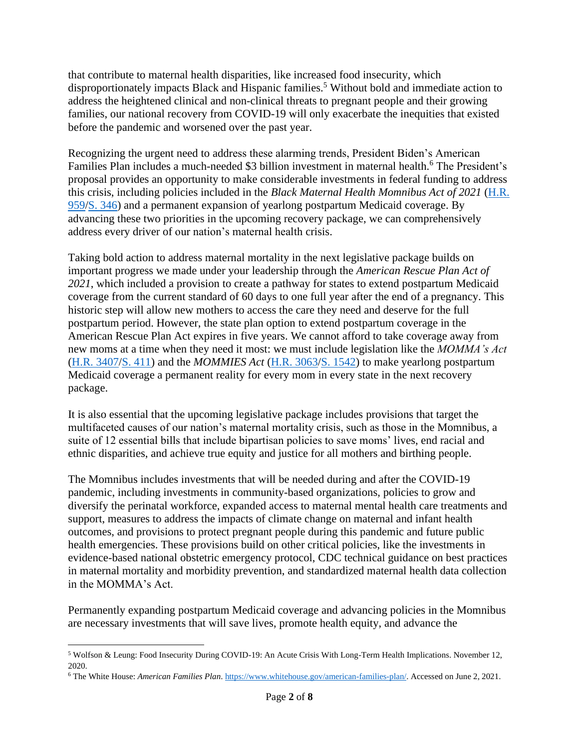that contribute to maternal health disparities, like increased food insecurity, which disproportionately impacts Black and Hispanic families.<sup>5</sup> Without bold and immediate action to address the heightened clinical and non-clinical threats to pregnant people and their growing families, our national recovery from COVID-19 will only exacerbate the inequities that existed before the pandemic and worsened over the past year.

Recognizing the urgent need to address these alarming trends, President Biden's American Families Plan includes a much-needed \$3 billion investment in maternal health.<sup>6</sup> The President's proposal provides an opportunity to make considerable investments in federal funding to address this crisis, including policies included in the *Black Maternal Health Momnibus Act of 2021* [\(H.R.](https://www.congress.gov/bill/117th-congress/house-bill/959/)  [959](https://www.congress.gov/bill/117th-congress/house-bill/959/)[/S. 346\)](https://www.congress.gov/bill/117th-congress/senate-bill/346/) and a permanent expansion of yearlong postpartum Medicaid coverage. By advancing these two priorities in the upcoming recovery package, we can comprehensively address every driver of our nation's maternal health crisis.

Taking bold action to address maternal mortality in the next legislative package builds on important progress we made under your leadership through the *American Rescue Plan Act of 2021*, which included a provision to create a pathway for states to extend postpartum Medicaid coverage from the current standard of 60 days to one full year after the end of a pregnancy. This historic step will allow new mothers to access the care they need and deserve for the full postpartum period. However, the state plan option to extend postpartum coverage in the American Rescue Plan Act expires in five years. We cannot afford to take coverage away from new moms at a time when they need it most: we must include legislation like the *MOMMA's Act* [\(H.R. 3407/](https://www.congress.gov/bill/117th-congress/house-bill/3407/)[S. 411\)](https://www.congress.gov/bill/117th-congress/senate-bill/411/) and the *MOMMIES Act* [\(H.R. 3063/](https://www.congress.gov/bill/117th-congress/house-bill/3063/)[S. 1542\)](https://www.congress.gov/bill/117th-congress/senate-bill/1542/) to make yearlong postpartum Medicaid coverage a permanent reality for every mom in every state in the next recovery package.

It is also essential that the upcoming legislative package includes provisions that target the multifaceted causes of our nation's maternal mortality crisis, such as those in the Momnibus, a suite of 12 essential bills that include bipartisan policies to save moms' lives, end racial and ethnic disparities, and achieve true equity and justice for all mothers and birthing people.

The Momnibus includes investments that will be needed during and after the COVID-19 pandemic, including investments in community-based organizations, policies to grow and diversify the perinatal workforce, expanded access to maternal mental health care treatments and support, measures to address the impacts of climate change on maternal and infant health outcomes, and provisions to protect pregnant people during this pandemic and future public health emergencies. These provisions build on other critical policies, like the investments in evidence-based national obstetric emergency protocol, CDC technical guidance on best practices in maternal mortality and morbidity prevention, and standardized maternal health data collection in the MOMMA's Act.

Permanently expanding postpartum Medicaid coverage and advancing policies in the Momnibus are necessary investments that will save lives, promote health equity, and advance the

<sup>5</sup> Wolfson & Leung: Food Insecurity During COVID-19: An Acute Crisis With Long-Term Health Implications. November 12, 2020.

<sup>6</sup> The White House: *American Families Plan*. [https://www.whitehouse.gov/american-families-plan/.](https://www.whitehouse.gov/american-families-plan/) Accessed on June 2, 2021.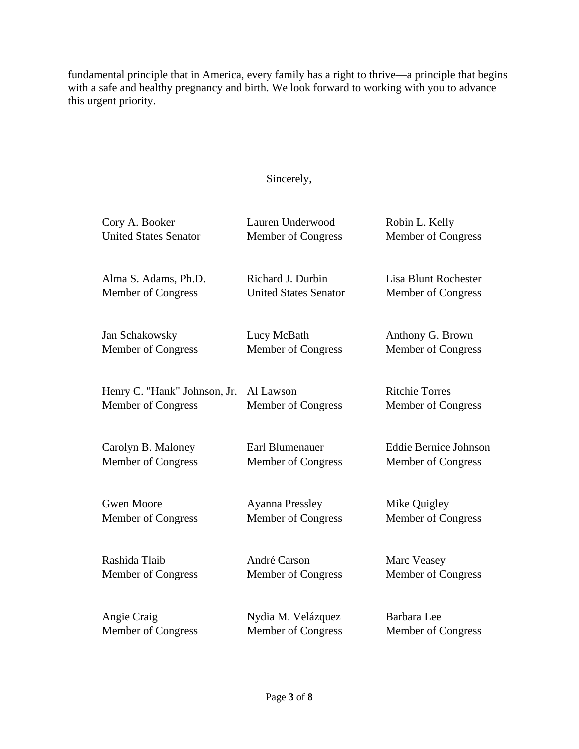fundamental principle that in America, every family has a right to thrive—a principle that begins with a safe and healthy pregnancy and birth. We look forward to working with you to advance this urgent priority.

## Sincerely,

| Cory A. Booker               | Lauren Underwood             | Robin L. Kelly               |
|------------------------------|------------------------------|------------------------------|
| <b>United States Senator</b> | Member of Congress           | Member of Congress           |
| Alma S. Adams, Ph.D.         | Richard J. Durbin            | <b>Lisa Blunt Rochester</b>  |
| Member of Congress           | <b>United States Senator</b> | Member of Congress           |
| Jan Schakowsky               | Lucy McBath                  | Anthony G. Brown             |
| Member of Congress           | Member of Congress           | Member of Congress           |
| Henry C. "Hank" Johnson, Jr. | Al Lawson                    | <b>Ritchie Torres</b>        |
| Member of Congress           | Member of Congress           | Member of Congress           |
| Carolyn B. Maloney           | Earl Blumenauer              | <b>Eddie Bernice Johnson</b> |
| Member of Congress           | Member of Congress           | Member of Congress           |
| <b>Gwen Moore</b>            | <b>Ayanna Pressley</b>       | Mike Quigley                 |
| Member of Congress           | Member of Congress           | Member of Congress           |
| Rashida Tlaib                | André Carson                 | Marc Veasey                  |
| Member of Congress           | Member of Congress           | Member of Congress           |
| Angie Craig                  | Nydia M. Velázquez           | Barbara Lee                  |
| Member of Congress           | Member of Congress           | Member of Congress           |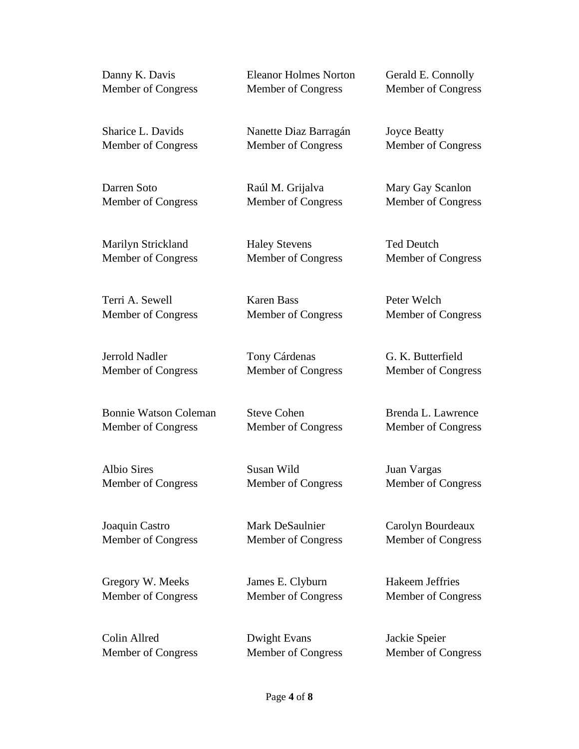| Danny K. Davis               | <b>Eleanor Holmes Norton</b> | Gerald E. Connolly  |
|------------------------------|------------------------------|---------------------|
| Member of Congress           | Member of Congress           | Member of Congress  |
| Sharice L. Davids            | Nanette Diaz Barragán        | <b>Joyce Beatty</b> |
| <b>Member of Congress</b>    | Member of Congress           | Member of Congress  |
| Darren Soto                  | Raúl M. Grijalva             | Mary Gay Scanlon    |
| <b>Member of Congress</b>    | Member of Congress           | Member of Congress  |
| Marilyn Strickland           | <b>Haley Stevens</b>         | <b>Ted Deutch</b>   |
| <b>Member of Congress</b>    | Member of Congress           | Member of Congress  |
| Terri A. Sewell              | <b>Karen Bass</b>            | Peter Welch         |
| <b>Member of Congress</b>    | Member of Congress           | Member of Congress  |
| Jerrold Nadler               | Tony Cárdenas                | G. K. Butterfield   |
| <b>Member of Congress</b>    | Member of Congress           | Member of Congress  |
| <b>Bonnie Watson Coleman</b> | <b>Steve Cohen</b>           | Brenda L. Lawrence  |
| <b>Member of Congress</b>    | Member of Congress           | Member of Congress  |
| Albio Sires                  | Susan Wild                   | Juan Vargas         |
| Member of Congress           | Member of Congress           | Member of Congress  |
| Joaquin Castro               | Mark DeSaulnier              | Carolyn Bourdeaux   |
| <b>Member of Congress</b>    | Member of Congress           | Member of Congress  |
| Gregory W. Meeks             | James E. Clyburn             | Hakeem Jeffries     |
| <b>Member of Congress</b>    | Member of Congress           | Member of Congress  |

Member of Congress

Colin Allred Dwight Evans Jackie Speier<br>Member of Congress Member of Congress Member of Congress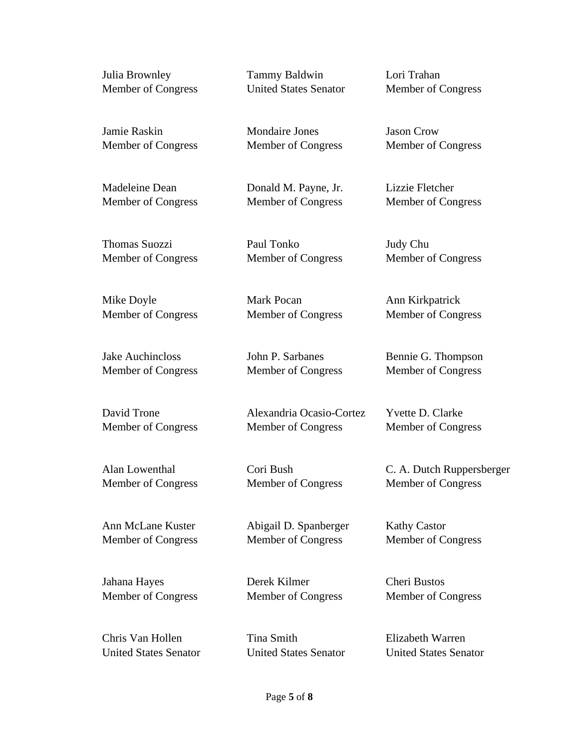Julia Brownley Tammy Baldwin Lori Trahan

Member of Congress United States Senator Member of Congress

Jamie Raskin Mondaire Jones Jason Crow Member of Congress Member of Congress Member of Congress

Madeleine Dean Donald M. Payne, Jr. Lizzie Fletcher Member of Congress Member of Congress Member of Congress

Thomas Suozzi Paul Tonko Judy Chu Member of Congress Member of Congress Member of Congress

Mike Doyle **Mark Pocan** Ann Kirkpatrick Member of Congress Member of Congress Member of Congress

Jake Auchincloss John P. Sarbanes Bennie G. Thompson Member of Congress Member of Congress Member of Congress

David Trone Alexandria Ocasio-Cortez Yvette D. Clarke Member of Congress Member of Congress Member of Congress

Member of Congress Member of Congress Member of Congress

Ann McLane Kuster Abigail D. Spanberger Kathy Castor Member of Congress Member of Congress Member of Congress

Jahana Hayes **Derek Kilmer** Cheri Bustos Member of Congress Member of Congress Member of Congress

Chris Van Hollen Tina Smith Elizabeth Warren United States Senator United States Senator United States Senator

Alan Lowenthal Cori Bush C. A. Dutch Ruppersberger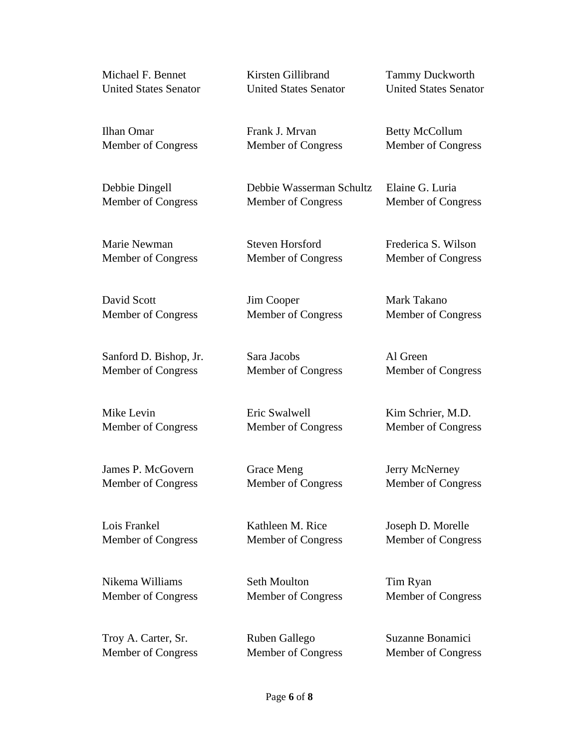Ilhan Omar Frank J. Mrvan Betty McCollum Member of Congress Member of Congress Member of Congress Debbie Dingell Debbie Wasserman Schultz Elaine G. Luria Member of Congress Member of Congress Member of Congress Marie Newman Steven Horsford Frederica S. Wilson Member of Congress Member of Congress Member of Congress David Scott Jim Cooper Mark Takano Member of Congress Member of Congress Member of Congress Sanford D. Bishop, Jr. Sara Jacobs Al Green Member of Congress Member of Congress Member of Congress Mike Levin **Eric Swalwell** Kim Schrier, M.D. Member of Congress Member of Congress Member of Congress James P. McGovern Grace Meng Jerry McNerney

Lois Frankel Kathleen M. Rice Joseph D. Morelle

Nikema Williams Seth Moulton Tim Ryan Member of Congress Member of Congress Member of Congress

Troy A. Carter, Sr. Ruben Gallego Suzanne Bonamici

Member of Congress Member of Congress Member of Congress

Member of Congress Member of Congress Member of Congress

## Michael F. Bennet Kirsten Gillibrand Tammy Duckworth United States Senator United States Senator United States Senator

Member of Congress Member of Congress Member of Congress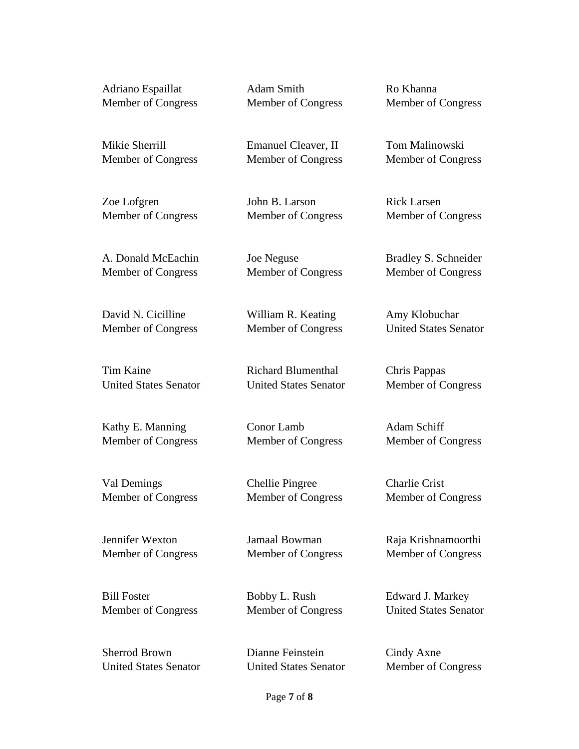Adriano Espaillat Adam Smith Ro Khanna Member of Congress Member of Congress Member of Congress

Mikie Sherrill Emanuel Cleaver, II Tom Malinowski Member of Congress Member of Congress Member of Congress

Zoe Lofgren John B. Larson Rick Larsen Member of Congress Member of Congress Member of Congress

A. Donald McEachin Joe Neguse Bradley S. Schneider Member of Congress Member of Congress Member of Congress

David N. Cicilline William R. Keating Amy Klobuchar

Tim Kaine Richard Blumenthal Chris Pappas United States Senator United States Senator Member of Congress

Kathy E. Manning Conor Lamb Adam Schiff Member of Congress Member of Congress Member of Congress

Val Demings Chellie Pingree Charlie Crist Member of Congress Member of Congress Member of Congress

Jennifer Wexton Jamaal Bowman Raja Krishnamoorthi Member of Congress Member of Congress Member of Congress

Bill Foster Bobby L. Rush Edward J. Markey Member of Congress Member of Congress United States Senator

United States Senator United States Senator Member of Congress

Sherrod Brown Dianne Feinstein Cindy Axne

Member of Congress Member of Congress United States Senator

## Page **7** of **8**